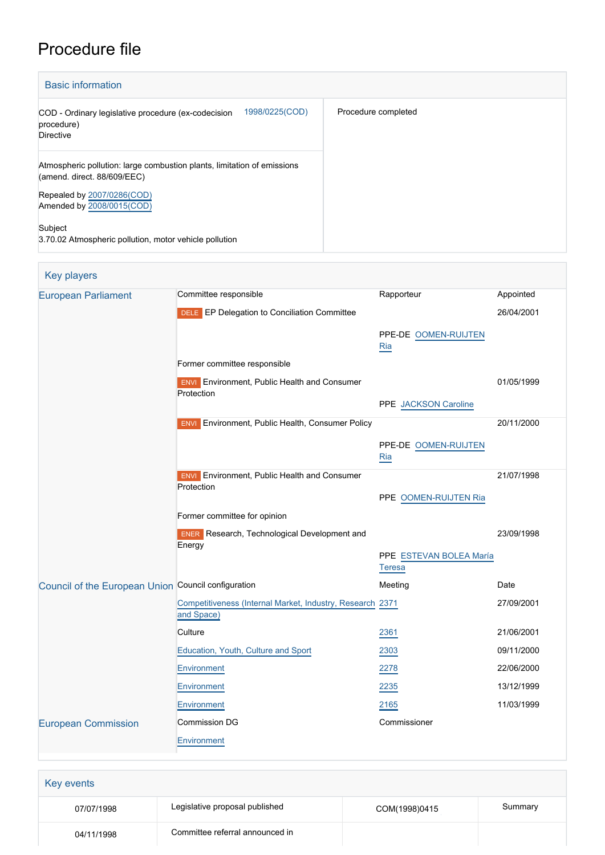# Procedure file

| <b>Basic information</b>                                                                               |                     |
|--------------------------------------------------------------------------------------------------------|---------------------|
| 1998/0225(COD)<br>COD - Ordinary legislative procedure (ex-codecision<br>procedure)<br>Directive       | Procedure completed |
| Atmospheric pollution: large combustion plants, limitation of emissions<br>(amend. direct. 88/609/EEC) |                     |
| Repealed by 2007/0286(COD)<br>Amended by 2008/0015(COD)                                                |                     |
| Subject<br>3.70.02 Atmospheric pollution, motor vehicle pollution                                      |                     |

# Key players

| <b>European Parliament</b>                          | Committee responsible                                                   | Rapporteur              | Appointed  |
|-----------------------------------------------------|-------------------------------------------------------------------------|-------------------------|------------|
|                                                     | DELE EP Delegation to Conciliation Committee                            |                         | 26/04/2001 |
|                                                     |                                                                         | PPE-DE OOMEN-RUIJTEN    |            |
|                                                     |                                                                         | Ria                     |            |
|                                                     | Former committee responsible                                            |                         |            |
|                                                     | <b>ENVI</b> Environment, Public Health and Consumer                     |                         | 01/05/1999 |
|                                                     | Protection                                                              | PPE JACKSON Caroline    |            |
|                                                     |                                                                         |                         |            |
|                                                     | <b>ENVI</b> Environment, Public Health, Consumer Policy                 |                         | 20/11/2000 |
|                                                     |                                                                         | PPE-DE OOMEN-RUIJTEN    |            |
|                                                     |                                                                         | Ria                     |            |
|                                                     | Environment, Public Health and Consumer<br><b>ENVI</b><br>Protection    |                         | 21/07/1998 |
|                                                     |                                                                         | PPE OOMEN-RUIJTEN Ria   |            |
|                                                     | Former committee for opinion                                            |                         |            |
|                                                     | <b>ENER</b> Research, Technological Development and<br>Energy           |                         | 23/09/1998 |
|                                                     |                                                                         | PPE ESTEVAN BOLEA María |            |
|                                                     |                                                                         | <b>Teresa</b>           |            |
| Council of the European Union Council configuration |                                                                         | Meeting                 | Date       |
|                                                     | Competitiveness (Internal Market, Industry, Research 2371<br>and Space) |                         | 27/09/2001 |
|                                                     | Culture                                                                 | 2361                    | 21/06/2001 |
|                                                     | Education, Youth, Culture and Sport                                     | 2303                    | 09/11/2000 |
|                                                     | Environment                                                             | 2278                    | 22/06/2000 |
|                                                     | Environment                                                             | 2235                    | 13/12/1999 |
|                                                     | Environment                                                             | 2165                    | 11/03/1999 |
| <b>European Commission</b>                          | Commission DG                                                           | Commissioner            |            |
|                                                     | Environment                                                             |                         |            |
|                                                     |                                                                         |                         |            |

| Key events |                                 |               |         |
|------------|---------------------------------|---------------|---------|
| 07/07/1998 | Legislative proposal published  | COM(1998)0415 | Summary |
| 04/11/1998 | Committee referral announced in |               |         |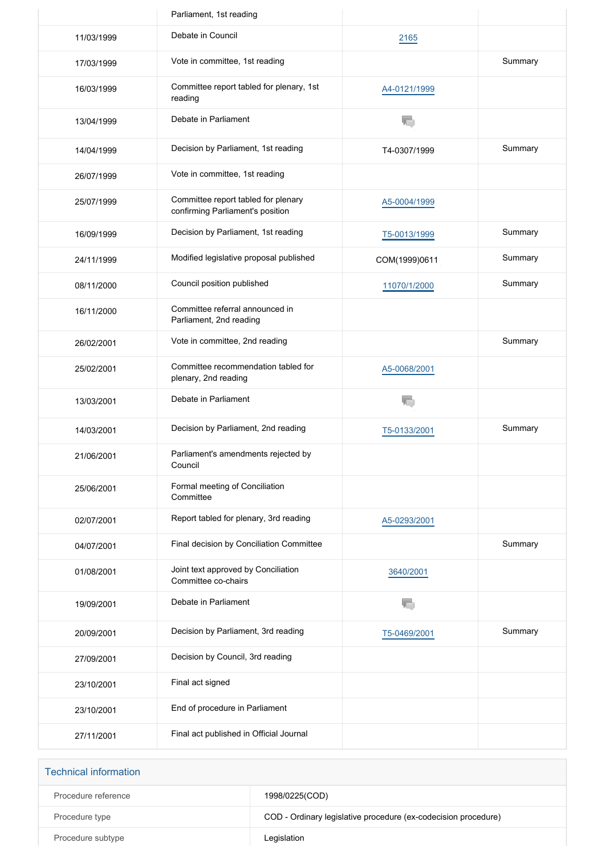|            | Parliament, 1st reading                                                 |               |         |
|------------|-------------------------------------------------------------------------|---------------|---------|
| 11/03/1999 | Debate in Council                                                       | 2165          |         |
| 17/03/1999 | Vote in committee, 1st reading                                          |               | Summary |
| 16/03/1999 | Committee report tabled for plenary, 1st<br>reading                     | A4-0121/1999  |         |
| 13/04/1999 | Debate in Parliament                                                    | T.            |         |
| 14/04/1999 | Decision by Parliament, 1st reading                                     | T4-0307/1999  | Summary |
| 26/07/1999 | Vote in committee, 1st reading                                          |               |         |
| 25/07/1999 | Committee report tabled for plenary<br>confirming Parliament's position | A5-0004/1999  |         |
| 16/09/1999 | Decision by Parliament, 1st reading                                     | T5-0013/1999  | Summary |
| 24/11/1999 | Modified legislative proposal published                                 | COM(1999)0611 | Summary |
| 08/11/2000 | Council position published                                              | 11070/1/2000  | Summary |
| 16/11/2000 | Committee referral announced in<br>Parliament, 2nd reading              |               |         |
| 26/02/2001 | Vote in committee, 2nd reading                                          |               | Summary |
| 25/02/2001 | Committee recommendation tabled for<br>plenary, 2nd reading             | A5-0068/2001  |         |
| 13/03/2001 | Debate in Parliament                                                    | T.            |         |
| 14/03/2001 | Decision by Parliament, 2nd reading                                     | T5-0133/2001  | Summary |
| 21/06/2001 | Parliament's amendments rejected by<br>Council                          |               |         |
| 25/06/2001 | Formal meeting of Conciliation<br>Committee                             |               |         |
| 02/07/2001 | Report tabled for plenary, 3rd reading                                  | A5-0293/2001  |         |
| 04/07/2001 | Final decision by Conciliation Committee                                |               | Summary |
| 01/08/2001 | Joint text approved by Conciliation<br>Committee co-chairs              | 3640/2001     |         |
| 19/09/2001 | Debate in Parliament                                                    | 扃             |         |
| 20/09/2001 | Decision by Parliament, 3rd reading                                     | T5-0469/2001  | Summary |
| 27/09/2001 | Decision by Council, 3rd reading                                        |               |         |
| 23/10/2001 | Final act signed                                                        |               |         |
| 23/10/2001 | End of procedure in Parliament                                          |               |         |
| 27/11/2001 | Final act published in Official Journal                                 |               |         |

| <b>Technical information</b> |                                                                |
|------------------------------|----------------------------------------------------------------|
| Procedure reference          | 1998/0225(COD)                                                 |
| Procedure type               | COD - Ordinary legislative procedure (ex-codecision procedure) |
| Procedure subtype            | Legislation                                                    |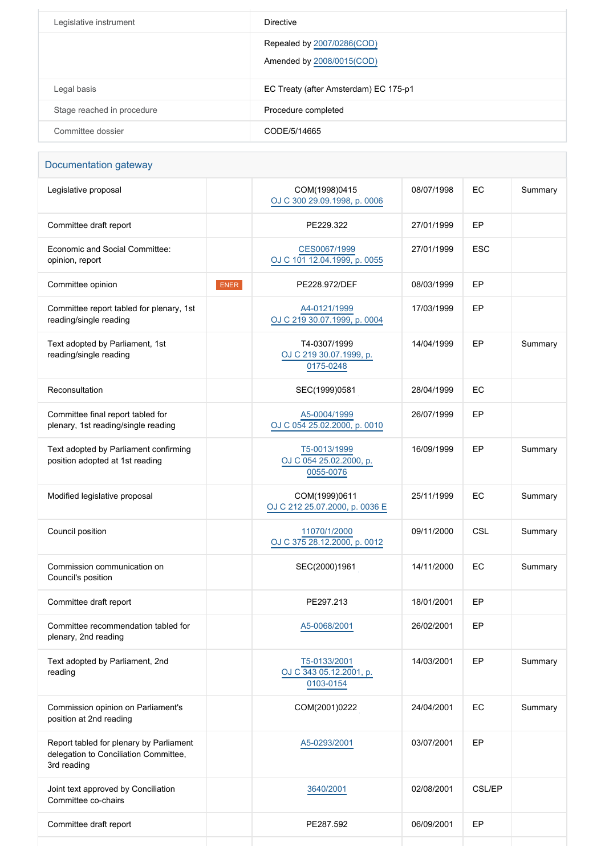| Legislative instrument     | Directive                                               |
|----------------------------|---------------------------------------------------------|
|                            | Repealed by 2007/0286(COD)<br>Amended by 2008/0015(COD) |
| Legal basis                | EC Treaty (after Amsterdam) EC 175-p1                   |
| Stage reached in procedure | Procedure completed                                     |
| Committee dossier          | CODE/5/14665                                            |

| Documentation gateway |  |
|-----------------------|--|
|                       |  |

| Legislative proposal                                                                            |      | COM(1998)0415<br>OJ C 300 29.09.1998, p. 0006        | 08/07/1998 | EC            | Summary |
|-------------------------------------------------------------------------------------------------|------|------------------------------------------------------|------------|---------------|---------|
| Committee draft report                                                                          |      | PE229.322                                            | 27/01/1999 | EP            |         |
| Economic and Social Committee:<br>opinion, report                                               |      | CES0067/1999<br>OJ C 101 12.04.1999, p. 0055         | 27/01/1999 | <b>ESC</b>    |         |
| Committee opinion                                                                               | ENER | PE228.972/DEF                                        | 08/03/1999 | EP            |         |
| Committee report tabled for plenary, 1st<br>reading/single reading                              |      | A4-0121/1999<br>OJ C 219 30.07.1999, p. 0004         | 17/03/1999 | EP            |         |
| Text adopted by Parliament, 1st<br>reading/single reading                                       |      | T4-0307/1999<br>OJ C 219 30.07.1999, p.<br>0175-0248 | 14/04/1999 | EP            | Summary |
| Reconsultation                                                                                  |      | SEC(1999)0581                                        | 28/04/1999 | EC            |         |
| Committee final report tabled for<br>plenary, 1st reading/single reading                        |      | A5-0004/1999<br>OJ C 054 25.02.2000, p. 0010         | 26/07/1999 | EP            |         |
| Text adopted by Parliament confirming<br>position adopted at 1st reading                        |      | T5-0013/1999<br>OJ C 054 25.02.2000, p.<br>0055-0076 | 16/09/1999 | EP            | Summary |
| Modified legislative proposal                                                                   |      | COM(1999)0611<br>OJ C 212 25.07.2000, p. 0036 E      | 25/11/1999 | EC            | Summary |
| Council position                                                                                |      | 11070/1/2000<br>OJ C 375 28.12.2000, p. 0012         | 09/11/2000 | CSL           | Summary |
| Commission communication on<br>Council's position                                               |      | SEC(2000)1961                                        | 14/11/2000 | EC            | Summary |
| Committee draft report                                                                          |      | PE297.213                                            | 18/01/2001 | EP            |         |
| Committee recommendation tabled for<br>plenary, 2nd reading                                     |      | A5-0068/2001                                         | 26/02/2001 | EP            |         |
| Text adopted by Parliament, 2nd<br>reading                                                      |      | T5-0133/2001<br>OJ C 343 05.12.2001, p.<br>0103-0154 | 14/03/2001 | EP            | Summary |
| Commission opinion on Parliament's<br>position at 2nd reading                                   |      | COM(2001)0222                                        | 24/04/2001 | EC            | Summary |
| Report tabled for plenary by Parliament<br>delegation to Conciliation Committee,<br>3rd reading |      | A5-0293/2001                                         | 03/07/2001 | EP            |         |
| Joint text approved by Conciliation<br>Committee co-chairs                                      |      | 3640/2001                                            | 02/08/2001 | <b>CSL/EP</b> |         |
| Committee draft report                                                                          |      | PE287.592                                            | 06/09/2001 | EP            |         |
|                                                                                                 |      |                                                      |            |               |         |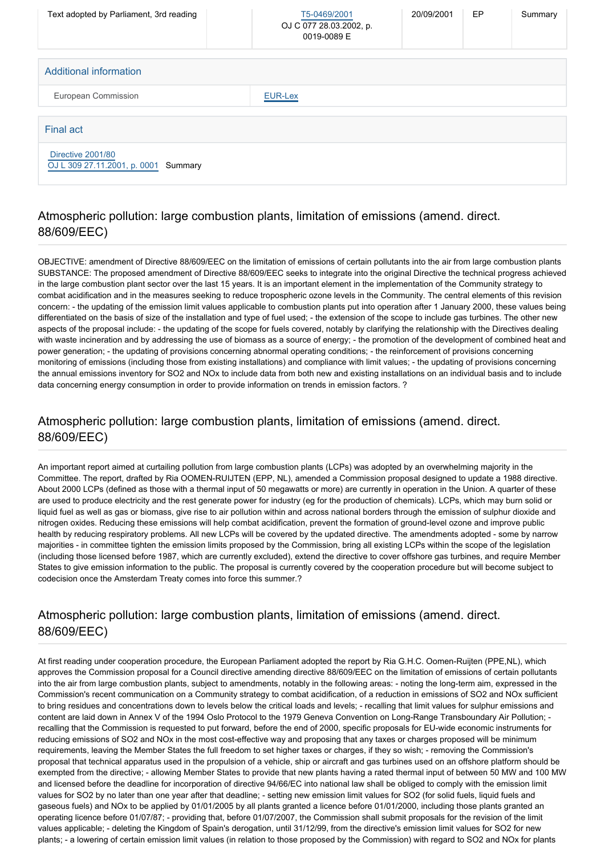| Text adopted by Parliament, 3rd reading                   | T5-0469/2001<br>OJ C 077 28.03.2002, p.<br>0019-0089 E | 20/09/2001 | EP | Summary |
|-----------------------------------------------------------|--------------------------------------------------------|------------|----|---------|
| <b>Additional information</b>                             |                                                        |            |    |         |
| European Commission                                       | <b>EUR-Lex</b>                                         |            |    |         |
| <b>Final act</b>                                          |                                                        |            |    |         |
| Directive 2001/80<br>OJ L 309 27.11.2001, p. 0001 Summary |                                                        |            |    |         |

## Atmospheric pollution: large combustion plants, limitation of emissions (amend. direct. 88/609/EEC)

OBJECTIVE: amendment of Directive 88/609/EEC on the limitation of emissions of certain pollutants into the air from large combustion plants SUBSTANCE: The proposed amendment of Directive 88/609/EEC seeks to integrate into the original Directive the technical progress achieved in the large combustion plant sector over the last 15 years. It is an important element in the implementation of the Community strategy to combat acidification and in the measures seeking to reduce tropospheric ozone levels in the Community. The central elements of this revision concern: - the updating of the emission limit values applicable to combustion plants put into operation after 1 January 2000, these values being differentiated on the basis of size of the installation and type of fuel used; - the extension of the scope to include gas turbines. The other new aspects of the proposal include: - the updating of the scope for fuels covered, notably by clarifying the relationship with the Directives dealing with waste incineration and by addressing the use of biomass as a source of energy; - the promotion of the development of combined heat and power generation; - the updating of provisions concerning abnormal operating conditions; - the reinforcement of provisions concerning monitoring of emissions (including those from existing installations) and compliance with limit values; - the updating of provisions concerning the annual emissions inventory for SO2 and NOx to include data from both new and existing installations on an individual basis and to include data concerning energy consumption in order to provide information on trends in emission factors. ?

## Atmospheric pollution: large combustion plants, limitation of emissions (amend. direct. 88/609/EEC)

An important report aimed at curtailing pollution from large combustion plants (LCPs) was adopted by an overwhelming majority in the Committee. The report, drafted by Ria OOMEN-RUIJTEN (EPP, NL), amended a Commission proposal designed to update a 1988 directive. About 2000 LCPs (defined as those with a thermal input of 50 megawatts or more) are currently in operation in the Union. A quarter of these are used to produce electricity and the rest generate power for industry (eg for the production of chemicals). LCPs, which may burn solid or liquid fuel as well as gas or biomass, give rise to air pollution within and across national borders through the emission of sulphur dioxide and nitrogen oxides. Reducing these emissions will help combat acidification, prevent the formation of ground-level ozone and improve public health by reducing respiratory problems. All new LCPs will be covered by the updated directive. The amendments adopted - some by narrow majorities - in committee tighten the emission limits proposed by the Commission, bring all existing LCPs within the scope of the legislation (including those licensed before 1987, which are currently excluded), extend the directive to cover offshore gas turbines, and require Member States to give emission information to the public. The proposal is currently covered by the cooperation procedure but will become subject to codecision once the Amsterdam Treaty comes into force this summer.?

#### Atmospheric pollution: large combustion plants, limitation of emissions (amend. direct. 88/609/EEC)

At first reading under cooperation procedure, the European Parliament adopted the report by Ria G.H.C. Oomen-Ruijten (PPE,NL), which approves the Commission proposal for a Council directive amending directive 88/609/EEC on the limitation of emissions of certain pollutants into the air from large combustion plants, subject to amendments, notably in the following areas: - noting the long-term aim, expressed in the Commission's recent communication on a Community strategy to combat acidification, of a reduction in emissions of SO2 and NOx sufficient to bring residues and concentrations down to levels below the critical loads and levels; - recalling that limit values for sulphur emissions and content are laid down in Annex V of the 1994 Oslo Protocol to the 1979 Geneva Convention on Long-Range Transboundary Air Pollution; recalling that the Commission is requested to put forward, before the end of 2000, specific proposals for EU-wide economic instruments for reducing emissions of SO2 and NOx in the most cost-effective way and proposing that any taxes or charges proposed will be minimum requirements, leaving the Member States the full freedom to set higher taxes or charges, if they so wish; - removing the Commission's proposal that technical apparatus used in the propulsion of a vehicle, ship or aircraft and gas turbines used on an offshore platform should be exempted from the directive; - allowing Member States to provide that new plants having a rated thermal input of between 50 MW and 100 MW and licensed before the deadline for incorporation of directive 94/66/EC into national law shall be obliged to comply with the emission limit values for SO2 by no later than one year after that deadline; - setting new emission limit values for SO2 (for solid fuels, liquid fuels and gaseous fuels) and NOx to be applied by 01/01/2005 by all plants granted a licence before 01/01/2000, including those plants granted an operating licence before 01/07/87; - providing that, before 01/07/2007, the Commission shall submit proposals for the revision of the limit values applicable; - deleting the Kingdom of Spain's derogation, until 31/12/99, from the directive's emission limit values for SO2 for new plants; - a lowering of certain emission limit values (in relation to those proposed by the Commission) with regard to SO2 and NOx for plants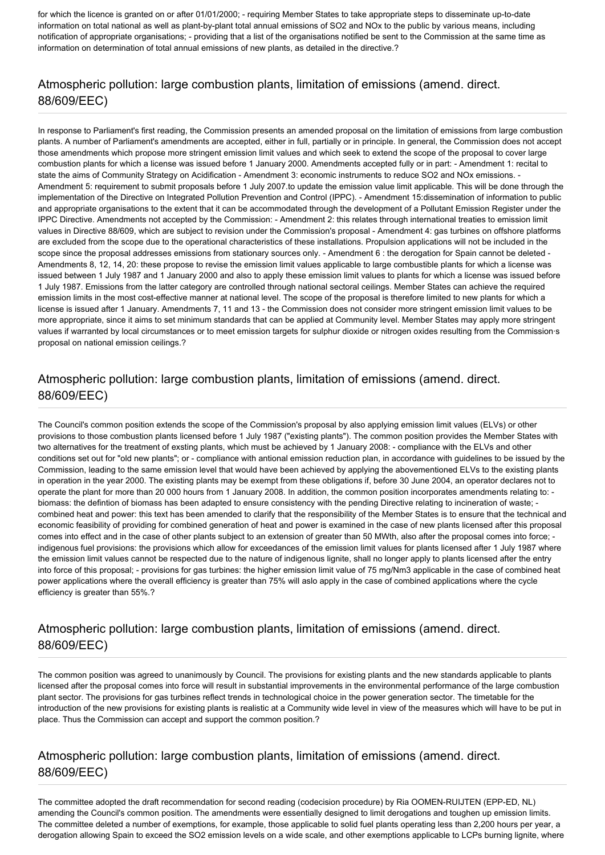for which the licence is granted on or after 01/01/2000; - requiring Member States to take appropriate steps to disseminate up-to-date information on total national as well as plant-by-plant total annual emissions of SO2 and NOx to the public by various means, including notification of appropriate organisations; - providing that a list of the organisations notified be sent to the Commission at the same time as information on determination of total annual emissions of new plants, as detailed in the directive.?

#### Atmospheric pollution: large combustion plants, limitation of emissions (amend. direct. 88/609/EEC)

In response to Parliament's first reading, the Commission presents an amended proposal on the limitation of emissions from large combustion plants. A number of Parliament's amendments are accepted, either in full, partially or in principle. In general, the Commission does not accept those amendments which propose more stringent emission limit values and which seek to extend the scope of the proposal to cover large combustion plants for which a license was issued before 1 January 2000. Amendments accepted fully or in part: - Amendment 1: recital to state the aims of Community Strategy on Acidification - Amendment 3: economic instruments to reduce SO2 and NOx emissions. - Amendment 5: requirement to submit proposals before 1 July 2007.to update the emission value limit applicable. This will be done through the implementation of the Directive on Integrated Pollution Prevention and Control (IPPC). - Amendment 15:dissemination of information to public and appropriate organisations to the extent that it can be accommodated through the development of a Pollutant Emission Register under the IPPC Directive. Amendments not accepted by the Commission: - Amendment 2: this relates through international treaties to emission limit values in Directive 88/609, which are subject to revision under the Commission's proposal - Amendment 4: gas turbines on offshore platforms are excluded from the scope due to the operational characteristics of these installations. Propulsion applications will not be included in the scope since the proposal addresses emissions from stationary sources only. - Amendment 6 : the derogation for Spain cannot be deleted -Amendments 8, 12, 14, 20: these propose to revise the emission limit values applicable to large combustible plants for which a license was issued between 1 July 1987 and 1 January 2000 and also to apply these emission limit values to plants for which a license was issued before 1 July 1987. Emissions from the latter category are controlled through national sectoral ceilings. Member States can achieve the required emission limits in the most cost-effective manner at national level. The scope of the proposal is therefore limited to new plants for which a license is issued after 1 January. Amendments 7, 11 and 13 - the Commission does not consider more stringent emission limit values to be more appropriate, since it aims to set minimum standards that can be applied at Community level. Member States may apply more stringent values if warranted by local circumstances or to meet emission targets for sulphur dioxide or nitrogen oxides resulting from the Commission·s proposal on national emission ceilings.?

#### Atmospheric pollution: large combustion plants, limitation of emissions (amend. direct. 88/609/EEC)

The Council's common position extends the scope of the Commission's proposal by also applying emission limit values (ELVs) or other provisions to those combustion plants licensed before 1 July 1987 ("existing plants"). The common position provides the Member States with two alternatives for the treatment of exsting plants, which must be achieved by 1 January 2008: - compliance with the ELVs and other conditions set out for "old new plants"; or - compliance with antional emission reduction plan, in accordance with guidelines to be issued by the Commission, leading to the same emission level that would have been achieved by applying the abovementioned ELVs to the existing plants in operation in the year 2000. The existing plants may be exempt from these obligations if, before 30 June 2004, an operator declares not to operate the plant for more than 20 000 hours from 1 January 2008. In addition, the common position incorporates amendments relating to: biomass: the defintion of biomass has been adapted to ensure consistency with the pending Directive relating to incineration of waste; combined heat and power: this text has been amended to clarify that the responsibility of the Member States is to ensure that the technical and economic feasibility of providing for combined generation of heat and power is examined in the case of new plants licensed after this proposal comes into effect and in the case of other plants subject to an extension of greater than 50 MWth, also after the proposal comes into force; indigenous fuel provisions: the provisions which allow for exceedances of the emission limit values for plants licensed after 1 July 1987 where the emission limit values cannot be respected due to the nature of indigenous lignite, shall no longer apply to plants licensed after the entry into force of this proposal; - provisions for gas turbines: the higher emission limit value of 75 mg/Nm3 applicable in the case of combined heat power applications where the overall efficiency is greater than 75% will aslo apply in the case of combined applications where the cycle efficiency is greater than 55%.?

#### Atmospheric pollution: large combustion plants, limitation of emissions (amend. direct. 88/609/EEC)

The common position was agreed to unanimously by Council. The provisions for existing plants and the new standards applicable to plants licensed after the proposal comes into force will result in substantial improvements in the environmental performance of the large combustion plant sector. The provisions for gas turbines reflect trends in technological choice in the power generation sector. The timetable for the introduction of the new provisions for existing plants is realistic at a Community wide level in view of the measures which will have to be put in place. Thus the Commission can accept and support the common position.?

#### Atmospheric pollution: large combustion plants, limitation of emissions (amend. direct. 88/609/EEC)

The committee adopted the draft recommendation for second reading (codecision procedure) by Ria OOMEN-RUIJTEN (EPP-ED, NL) amending the Council's common position. The amendments were essentially designed to limit derogations and toughen up emission limits. The committee deleted a number of exemptions, for example, those applicable to solid fuel plants operating less than 2,200 hours per year, a derogation allowing Spain to exceed the SO2 emission levels on a wide scale, and other exemptions applicable to LCPs burning lignite, where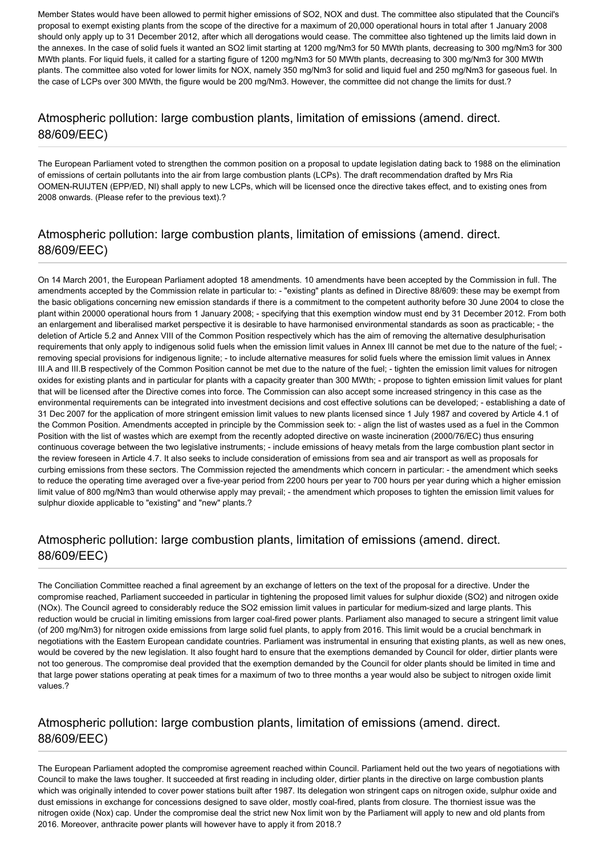Member States would have been allowed to permit higher emissions of SO2, NOX and dust. The committee also stipulated that the Council's proposal to exempt existing plants from the scope of the directive for a maximum of 20,000 operational hours in total after 1 January 2008 should only apply up to 31 December 2012, after which all derogations would cease. The committee also tightened up the limits laid down in the annexes. In the case of solid fuels it wanted an SO2 limit starting at 1200 mg/Nm3 for 50 MWth plants, decreasing to 300 mg/Nm3 for 300 MWth plants. For liquid fuels, it called for a starting figure of 1200 mg/Nm3 for 50 MWth plants, decreasing to 300 mg/Nm3 for 300 MWth plants. The committee also voted for lower limits for NOX, namely 350 mg/Nm3 for solid and liquid fuel and 250 mg/Nm3 for gaseous fuel. In the case of LCPs over 300 MWth, the figure would be 200 mg/Nm3. However, the committee did not change the limits for dust.?

#### Atmospheric pollution: large combustion plants, limitation of emissions (amend. direct. 88/609/EEC)

The European Parliament voted to strengthen the common position on a proposal to update legislation dating back to 1988 on the elimination of emissions of certain pollutants into the air from large combustion plants (LCPs). The draft recommendation drafted by Mrs Ria OOMEN-RUIJTEN (EPP/ED, Nl) shall apply to new LCPs, which will be licensed once the directive takes effect, and to existing ones from 2008 onwards. (Please refer to the previous text).?

## Atmospheric pollution: large combustion plants, limitation of emissions (amend. direct. 88/609/EEC)

On 14 March 2001, the European Parliament adopted 18 amendments. 10 amendments have been accepted by the Commission in full. The amendments accepted by the Commission relate in particular to: - "existing" plants as defined in Directive 88/609: these may be exempt from the basic obligations concerning new emission standards if there is a commitment to the competent authority before 30 June 2004 to close the plant within 20000 operational hours from 1 January 2008; - specifying that this exemption window must end by 31 December 2012. From both an enlargement and liberalised market perspective it is desirable to have harmonised environmental standards as soon as practicable; - the deletion of Article 5.2 and Annex VIII of the Common Position respectively which has the aim of removing the alternative desulphurisation requirements that only apply to indigenous solid fuels when the emission limit values in Annex III cannot be met due to the nature of the fuel; removing special provisions for indigenous lignite; - to include alternative measures for solid fuels where the emission limit values in Annex III.A and III.B respectively of the Common Position cannot be met due to the nature of the fuel; - tighten the emission limit values for nitrogen oxides for existing plants and in particular for plants with a capacity greater than 300 MWth; - propose to tighten emission limit values for plant that will be licensed after the Directive comes into force. The Commission can also accept some increased stringency in this case as the environmental requirements can be integrated into investment decisions and cost effective solutions can be developed; - establishing a date of 31 Dec 2007 for the application of more stringent emission limit values to new plants licensed since 1 July 1987 and covered by Article 4.1 of the Common Position. Amendments accepted in principle by the Commission seek to: - align the list of wastes used as a fuel in the Common Position with the list of wastes which are exempt from the recently adopted directive on waste incineration (2000/76/EC) thus ensuring continuous coverage between the two legislative instruments; - include emissions of heavy metals from the large combustion plant sector in the review foreseen in Article 4.7. It also seeks to include consideration of emissions from sea and air transport as well as proposals for curbing emissions from these sectors. The Commission rejected the amendments which concern in particular: - the amendment which seeks to reduce the operating time averaged over a five-year period from 2200 hours per year to 700 hours per year during which a higher emission limit value of 800 mg/Nm3 than would otherwise apply may prevail; - the amendment which proposes to tighten the emission limit values for sulphur dioxide applicable to "existing" and "new" plants.?

## Atmospheric pollution: large combustion plants, limitation of emissions (amend. direct. 88/609/EEC)

The Conciliation Committee reached a final agreement by an exchange of letters on the text of the proposal for a directive. Under the compromise reached, Parliament succeeded in particular in tightening the proposed limit values for sulphur dioxide (SO2) and nitrogen oxide (NOx). The Council agreed to considerably reduce the SO2 emission limit values in particular for medium-sized and large plants. This reduction would be crucial in limiting emissions from larger coal-fired power plants. Parliament also managed to secure a stringent limit value (of 200 mg/Nm3) for nitrogen oxide emissions from large solid fuel plants, to apply from 2016. This limit would be a crucial benchmark in negotiations with the Eastern European candidate countries. Parliament was instrumental in ensuring that existing plants, as well as new ones, would be covered by the new legislation. It also fought hard to ensure that the exemptions demanded by Council for older, dirtier plants were not too generous. The compromise deal provided that the exemption demanded by the Council for older plants should be limited in time and that large power stations operating at peak times for a maximum of two to three months a year would also be subject to nitrogen oxide limit values.?

#### Atmospheric pollution: large combustion plants, limitation of emissions (amend. direct. 88/609/EEC)

The European Parliament adopted the compromise agreement reached within Council. Parliament held out the two years of negotiations with Council to make the laws tougher. It succeeded at first reading in including older, dirtier plants in the directive on large combustion plants which was originally intended to cover power stations built after 1987. Its delegation won stringent caps on nitrogen oxide, sulphur oxide and dust emissions in exchange for concessions designed to save older, mostly coal-fired, plants from closure. The thorniest issue was the nitrogen oxide (Nox) cap. Under the compromise deal the strict new Nox limit won by the Parliament will apply to new and old plants from 2016. Moreover, anthracite power plants will however have to apply it from 2018.?